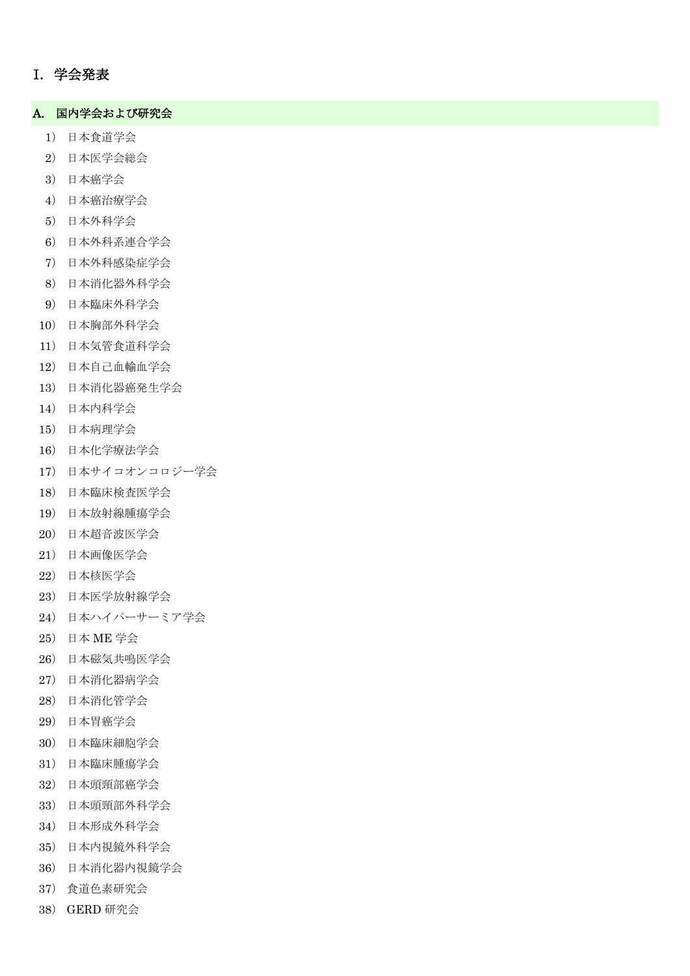## I. 学会発表

#### A. 国内学会および研究会

- ) 日本食道学会
- ) 日本医学会総会
- ) 日本癌学会
- ) 日本癌治療学会
- ) 日本外科学会
- ) 日本外科系連合学会
- ) 日本外科感染症学会
- ) 日本消化器外科学会
- ) 日本臨床外科学会
- ) 日本胸部外科学会
- ) 日本気管食道科学会
- ) 日本自己血輸血学会
- ) 日本消化器癌発生学会
- ) 日本内科学会
- ) 日本病理学会
- ) 日本化学療法学会
- ) 日本サイコオンコロジー学会
- ) 日本臨床検査医学会
- ) 日本放射線腫瘍学会
- ) 日本超音波医学会
- ) 日本画像医学会
- ) 日本核医学会
- ) 日本医学放射線学会
- ) 日本ハイパーサーミア学会
- ) 日本 ME 学会
- ) 日本磁気共鳴医学会
- ) 日本消化器病学会
- ) 日本消化管学会
- ) 日本胃癌学会
- ) 日本臨床細胞学会
- ) 日本臨床腫瘍学会
- ) 日本頭頸部癌学会
- ) 日本頭頸部外科学会
- ) 日本形成外科学会
- ) 日本内視鏡外科学会
- ) 日本消化器内視鏡学会
- ) 食道色素研究会
- ) GERD 研究会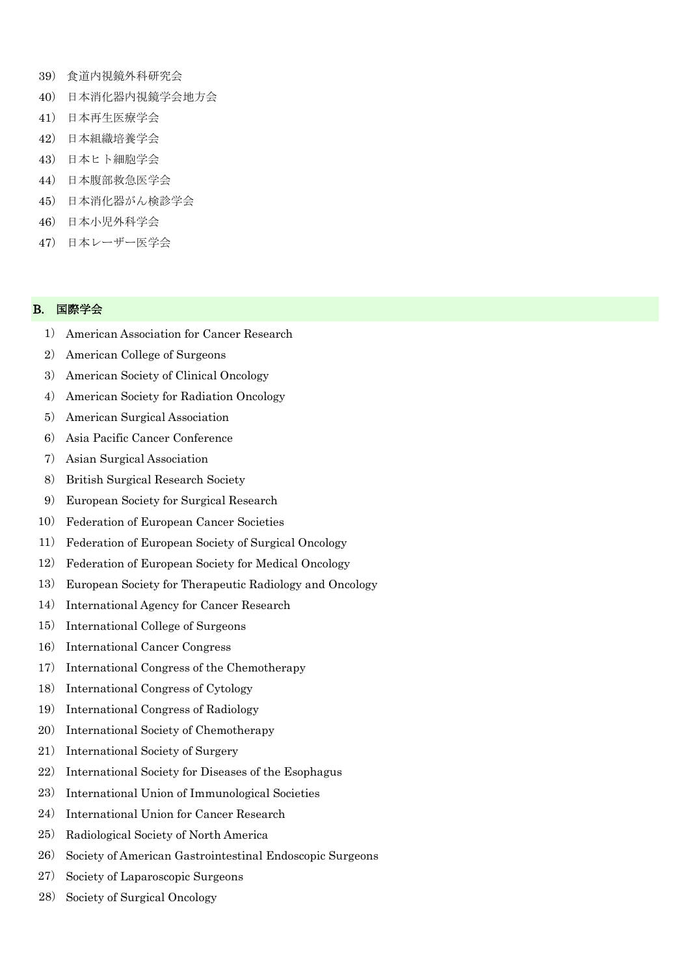- 39) 食道内視鏡外科研究会
- 40) 日本消化器内視鏡学会地方会
- 41) 日本再生医療学会
- 42) 日本組織培養学会
- 43) 日本ヒト細胞学会
- 44) 日本腹部救急医学会
- 45) 日本消化器がん検診学会
- 46) 日本小児外科学会
- 47) 日本レーザー医学会

#### B. 国際学会

- 1) American Association for Cancer Research
- 2) American College of Surgeons
- 3) American Society of Clinical Oncology
- 4) American Society for Radiation Oncology
- 5) American Surgical Association
- 6) Asia Pacific Cancer Conference
- 7) Asian Surgical Association
- 8) British Surgical Research Society
- 9) European Society for Surgical Research
- 10) Federation of European Cancer Societies
- 11) Federation of European Society of Surgical Oncology
- 12) Federation of European Society for Medical Oncology
- 13) European Society for Therapeutic Radiology and Oncology
- 14) International Agency for Cancer Research
- 15) International College of Surgeons
- 16) International Cancer Congress
- 17) International Congress of the Chemotherapy
- 18) International Congress of Cytology
- 19) International Congress of Radiology
- 20) International Society of Chemotherapy
- 21) International Society of Surgery
- 22) International Society for Diseases of the Esophagus
- 23) International Union of Immunological Societies
- 24) International Union for Cancer Research
- 25) Radiological Society of North America
- 26) Society of American Gastrointestinal Endoscopic Surgeons
- 27) Society of Laparoscopic Surgeons
- 28) Society of Surgical Oncology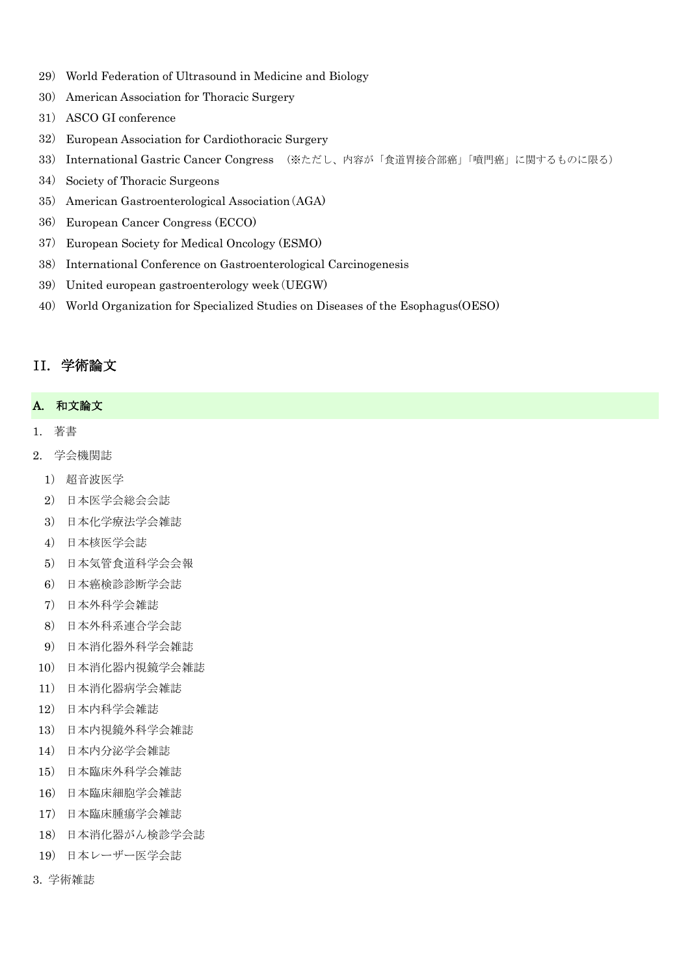- ) World Federation of Ultrasound in Medicine and Biology
- ) American Association for Thoracic Surgery
- ) ASCO GI conference
- ) European Association for Cardiothoracic Surgery
- ) International Gastric Cancer Congress (※ただし、内容が「食道胃接合部癌」「噴門癌」に関するものに限る)
- ) Society of Thoracic Surgeons
- ) American Gastroenterological Association(AGA)
- ) European Cancer Congress (ECCO)
- ) European Society for Medical Oncology (ESMO)
- ) International Conference on Gastroenterological Carcinogenesis
- ) United european gastroenterology week(UEGW)
- ) World Organization for Specialized Studies on Diseases of the Esophagus(OESO)

## II. 学術論文

### A. 和文論文

- 1. 著書
- 2. 学会機関誌
- ) 超音波医学
- ) 日本医学会総会会誌
- ) 日本化学療法学会雑誌
- ) 日本核医学会誌
- ) 日本気管食道科学会会報
- ) 日本癌検診診断学会誌
- ) 日本外科学会雑誌
- ) 日本外科系連合学会誌
- ) 日本消化器外科学会雑誌
- ) 日本消化器内視鏡学会雑誌
- ) 日本消化器病学会雑誌
- ) 日本内科学会雑誌
- ) 日本内視鏡外科学会雑誌
- ) 日本内分泌学会雑誌
- ) 日本臨床外科学会雑誌
- ) 日本臨床細胞学会雑誌
- ) 日本臨床腫瘍学会雑誌
- ) 日本消化器がん検診学会誌
- ) 日本レーザー医学会誌
- 3. 学術雑誌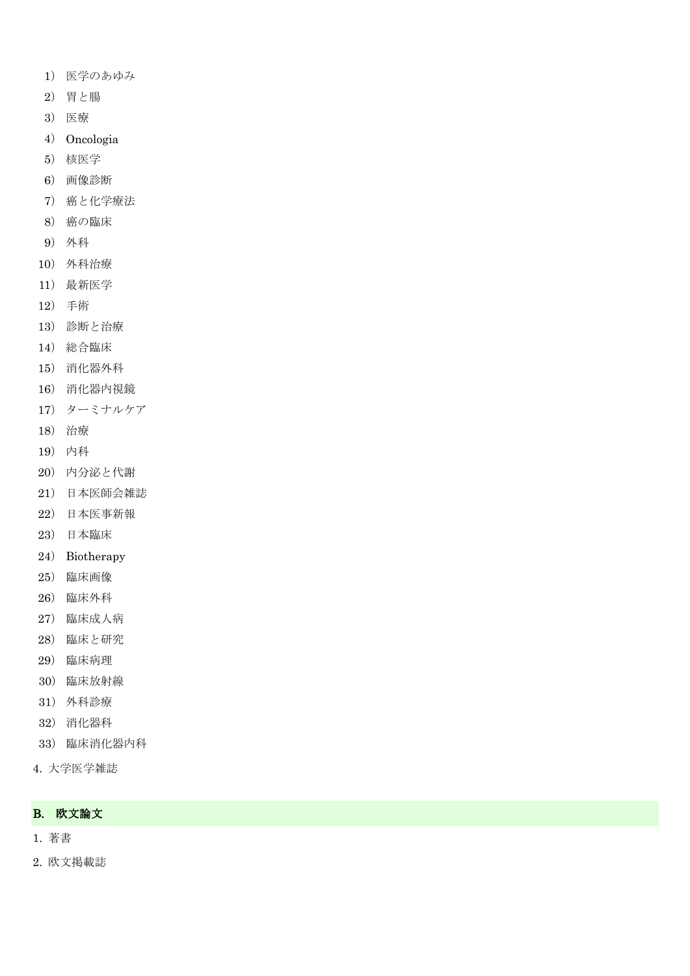- ) 医学のあゆみ
- ) 胃と腸
- ) 医療
- ) Oncologia
- ) 核医学
- ) 画像診断
- ) 癌と化学療法
- ) 癌の臨床
- ) 外科
- ) 外科治療
- ) 最新医学
- ) 手術
- ) 診断と治療
- ) 総合臨床
- ) 消化器外科
- ) 消化器内視鏡
- ) ターミナルケア
- ) 治療
- ) 内科
- ) 内分泌と代謝
- ) 日本医師会雑誌
- ) 日本医事新報
- ) 日本臨床
- ) Biotherapy
- ) 臨床画像
- ) 臨床外科
- ) 臨床成人病
- ) 臨床と研究
- ) 臨床病理
- ) 臨床放射線
- ) 外科診療
- ) 消化器科
- ) 臨床消化器内科
- 4. 大学医学雑誌

### B. 欧文論文

- 1. 著書
- 2. 欧文掲載誌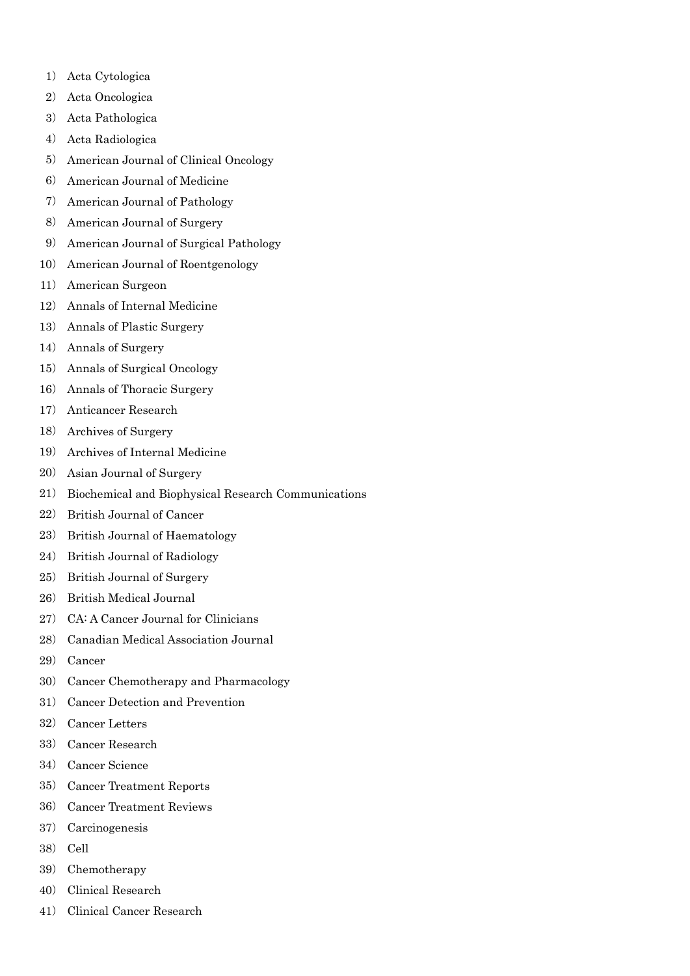- ) Acta Cytologica
- ) Acta Oncologica
- ) Acta Pathologica
- ) Acta Radiologica
- ) American Journal of Clinical Oncology
- ) American Journal of Medicine
- ) American Journal of Pathology
- ) American Journal of Surgery
- ) American Journal of Surgical Pathology
- ) American Journal of Roentgenology
- ) American Surgeon
- ) Annals of Internal Medicine
- ) Annals of Plastic Surgery
- ) Annals of Surgery
- ) Annals of Surgical Oncology
- ) Annals of Thoracic Surgery
- ) Anticancer Research
- ) Archives of Surgery
- ) Archives of Internal Medicine
- ) Asian Journal of Surgery
- ) Biochemical and Biophysical Research Communications
- ) British Journal of Cancer
- ) British Journal of Haematology
- ) British Journal of Radiology
- ) British Journal of Surgery
- ) British Medical Journal
- ) CA: A Cancer Journal for Clinicians
- ) Canadian Medical Association Journal
- ) Cancer
- ) Cancer Chemotherapy and Pharmacology
- ) Cancer Detection and Prevention
- ) Cancer Letters
- ) Cancer Research
- ) Cancer Science
- ) Cancer Treatment Reports
- ) Cancer Treatment Reviews
- ) Carcinogenesis
- ) Cell
- ) Chemotherapy
- ) Clinical Research
- ) Clinical Cancer Research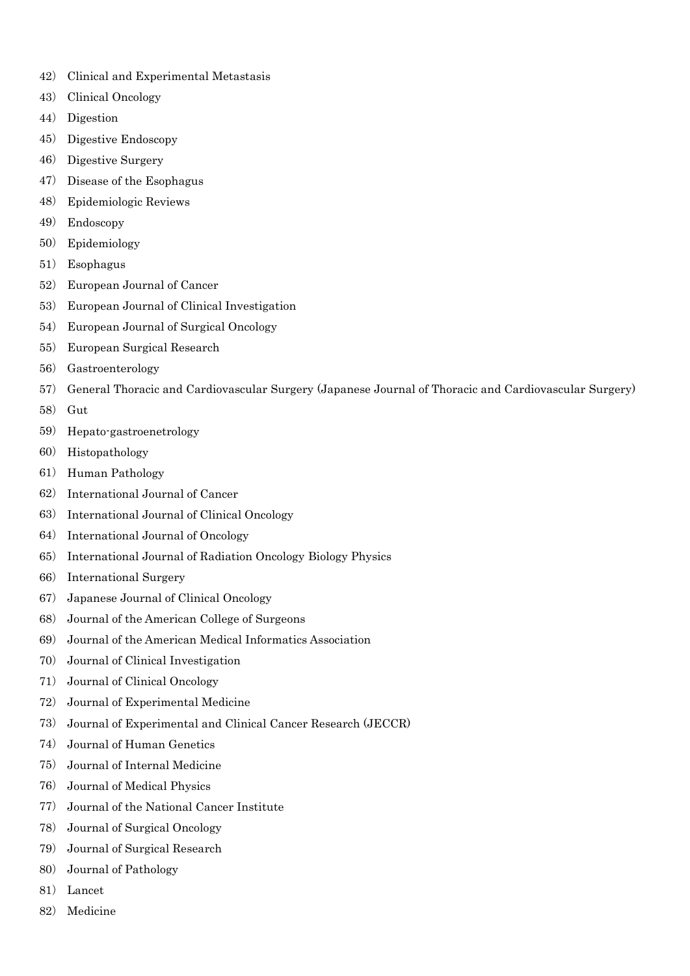- ) Clinical and Experimental Metastasis
- ) Clinical Oncology
- ) Digestion
- ) Digestive Endoscopy
- ) Digestive Surgery
- ) Disease of the Esophagus
- ) Epidemiologic Reviews
- ) Endoscopy
- ) Epidemiology
- ) Esophagus
- ) European Journal of Cancer
- ) European Journal of Clinical Investigation
- ) European Journal of Surgical Oncology
- ) European Surgical Research
- ) Gastroenterology
- ) General Thoracic and Cardiovascular Surgery (Japanese Journal of Thoracic and Cardiovascular Surgery)
- ) Gut
- ) Hepato-gastroenetrology
- ) Histopathology
- ) Human Pathology
- ) International Journal of Cancer
- ) International Journal of Clinical Oncology
- ) International Journal of Oncology
- ) International Journal of Radiation Oncology Biology Physics
- ) International Surgery
- ) Japanese Journal of Clinical Oncology
- ) Journal of the American College of Surgeons
- ) Journal of the American Medical Informatics Association
- ) Journal of Clinical Investigation
- ) Journal of Clinical Oncology
- ) Journal of Experimental Medicine
- ) Journal of Experimental and Clinical Cancer Research (JECCR)
- ) Journal of Human Genetics
- ) Journal of Internal Medicine
- ) Journal of Medical Physics
- ) Journal of the National Cancer Institute
- ) Journal of Surgical Oncology
- ) Journal of Surgical Research
- ) Journal of Pathology
- ) Lancet
- ) Medicine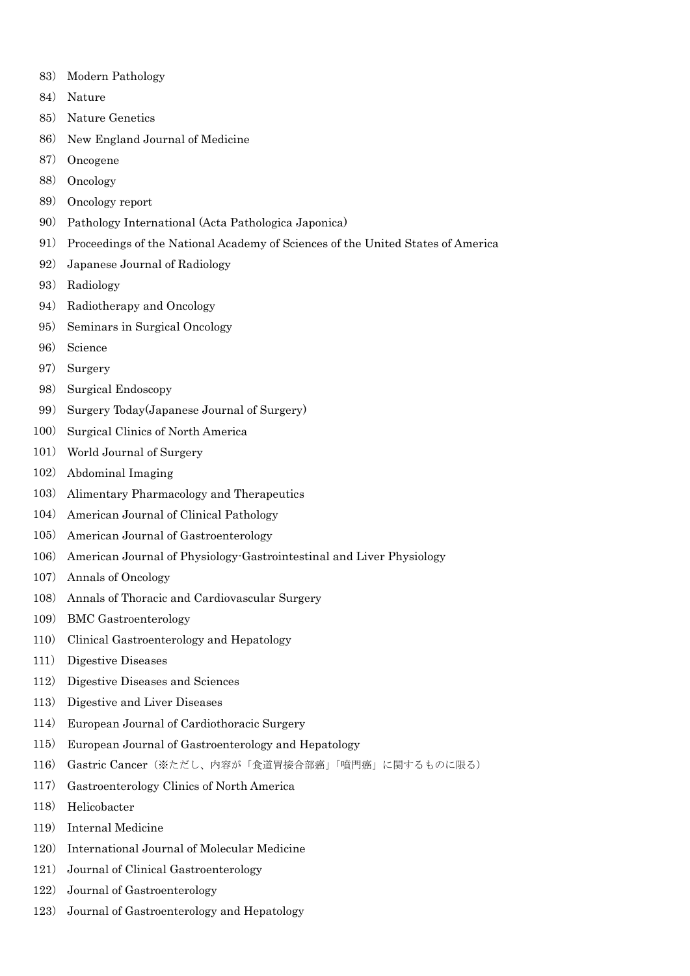- ) Modern Pathology
- ) Nature
- ) Nature Genetics
- ) New England Journal of Medicine
- ) Oncogene
- ) Oncology
- ) Oncology report
- ) Pathology International (Acta Pathologica Japonica)
- ) Proceedings of the National Academy of Sciences of the United States of America
- ) Japanese Journal of Radiology
- ) Radiology
- ) Radiotherapy and Oncology
- ) Seminars in Surgical Oncology
- ) Science
- ) Surgery
- ) Surgical Endoscopy
- ) Surgery Today(Japanese Journal of Surgery)
- ) Surgical Clinics of North America
- ) World Journal of Surgery
- ) Abdominal Imaging
- ) Alimentary Pharmacology and Therapeutics
- ) American Journal of Clinical Pathology
- ) American Journal of Gastroenterology
- ) American Journal of Physiology-Gastrointestinal and Liver Physiology
- ) Annals of Oncology
- ) Annals of Thoracic and Cardiovascular Surgery
- ) BMC Gastroenterology
- ) Clinical Gastroenterology and Hepatology
- ) Digestive Diseases
- ) Digestive Diseases and Sciences
- ) Digestive and Liver Diseases
- ) European Journal of Cardiothoracic Surgery
- ) European Journal of Gastroenterology and Hepatology
- ) Gastric Cancer(※ただし、内容が「食道胃接合部癌」「噴門癌」に関するものに限る)
- ) Gastroenterology Clinics of North America
- ) Helicobacter
- ) Internal Medicine
- ) International Journal of Molecular Medicine
- ) Journal of Clinical Gastroenterology
- ) Journal of Gastroenterology
- ) Journal of Gastroenterology and Hepatology